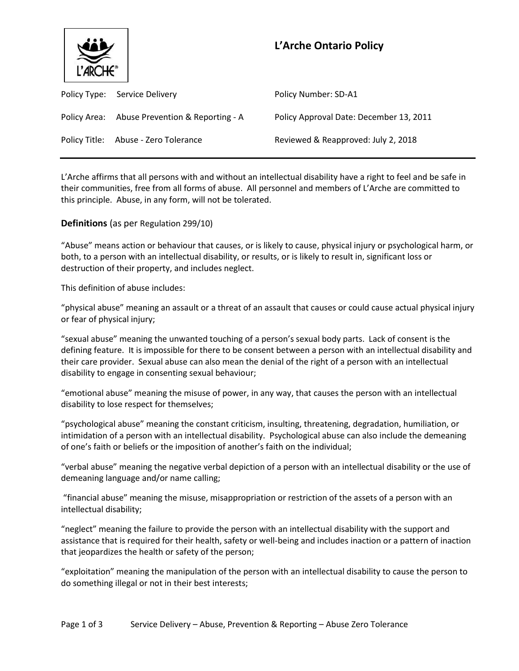

# **L'Arche Ontario Policy**

| Policy Type: Service Delivery                 | Policy Number: SD-A1                    |
|-----------------------------------------------|-----------------------------------------|
| Policy Area: Abuse Prevention & Reporting - A | Policy Approval Date: December 13, 2011 |
| Policy Title: Abuse - Zero Tolerance          | Reviewed & Reapproved: July 2, 2018     |

L'Arche affirms that all persons with and without an intellectual disability have a right to feel and be safe in their communities, free from all forms of abuse. All personnel and members of L'Arche are committed to this principle. Abuse, in any form, will not be tolerated.

# **Definitions** (as per Regulation 299/10)

"Abuse" means action or behaviour that causes, or is likely to cause, physical injury or psychological harm, or both, to a person with an intellectual disability, or results, or is likely to result in, significant loss or destruction of their property, and includes neglect.

This definition of abuse includes:

"physical abuse" meaning an assault or a threat of an assault that causes or could cause actual physical injury or fear of physical injury;

"sexual abuse" meaning the unwanted touching of a person's sexual body parts. Lack of consent is the defining feature. It is impossible for there to be consent between a person with an intellectual disability and their care provider. Sexual abuse can also mean the denial of the right of a person with an intellectual disability to engage in consenting sexual behaviour;

"emotional abuse" meaning the misuse of power, in any way, that causes the person with an intellectual disability to lose respect for themselves;

"psychological abuse" meaning the constant criticism, insulting, threatening, degradation, humiliation, or intimidation of a person with an intellectual disability. Psychological abuse can also include the demeaning of one's faith or beliefs or the imposition of another's faith on the individual;

"verbal abuse" meaning the negative verbal depiction of a person with an intellectual disability or the use of demeaning language and/or name calling;

"financial abuse" meaning the misuse, misappropriation or restriction of the assets of a person with an intellectual disability;

"neglect" meaning the failure to provide the person with an intellectual disability with the support and assistance that is required for their health, safety or well-being and includes inaction or a pattern of inaction that jeopardizes the health or safety of the person;

"exploitation" meaning the manipulation of the person with an intellectual disability to cause the person to do something illegal or not in their best interests;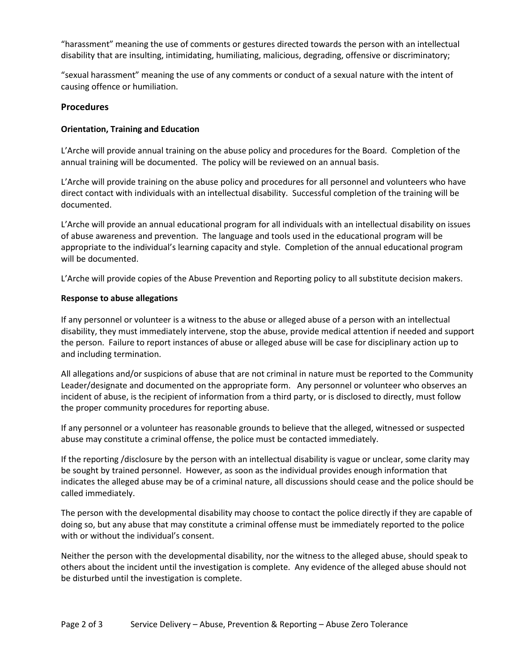"harassment" meaning the use of comments or gestures directed towards the person with an intellectual disability that are insulting, intimidating, humiliating, malicious, degrading, offensive or discriminatory;

"sexual harassment" meaning the use of any comments or conduct of a sexual nature with the intent of causing offence or humiliation.

# **Procedures**

## **Orientation, Training and Education**

L'Arche will provide annual training on the abuse policy and procedures for the Board. Completion of the annual training will be documented. The policy will be reviewed on an annual basis.

L'Arche will provide training on the abuse policy and procedures for all personnel and volunteers who have direct contact with individuals with an intellectual disability. Successful completion of the training will be documented.

L'Arche will provide an annual educational program for all individuals with an intellectual disability on issues of abuse awareness and prevention. The language and tools used in the educational program will be appropriate to the individual's learning capacity and style. Completion of the annual educational program will be documented.

L'Arche will provide copies of the Abuse Prevention and Reporting policy to all substitute decision makers.

## **Response to abuse allegations**

If any personnel or volunteer is a witness to the abuse or alleged abuse of a person with an intellectual disability, they must immediately intervene, stop the abuse, provide medical attention if needed and support the person. Failure to report instances of abuse or alleged abuse will be case for disciplinary action up to and including termination.

All allegations and/or suspicions of abuse that are not criminal in nature must be reported to the Community Leader/designate and documented on the appropriate form. Any personnel or volunteer who observes an incident of abuse, is the recipient of information from a third party, or is disclosed to directly, must follow the proper community procedures for reporting abuse.

If any personnel or a volunteer has reasonable grounds to believe that the alleged, witnessed or suspected abuse may constitute a criminal offense, the police must be contacted immediately.

If the reporting /disclosure by the person with an intellectual disability is vague or unclear, some clarity may be sought by trained personnel. However, as soon as the individual provides enough information that indicates the alleged abuse may be of a criminal nature, all discussions should cease and the police should be called immediately.

The person with the developmental disability may choose to contact the police directly if they are capable of doing so, but any abuse that may constitute a criminal offense must be immediately reported to the police with or without the individual's consent.

Neither the person with the developmental disability, nor the witness to the alleged abuse, should speak to others about the incident until the investigation is complete. Any evidence of the alleged abuse should not be disturbed until the investigation is complete.